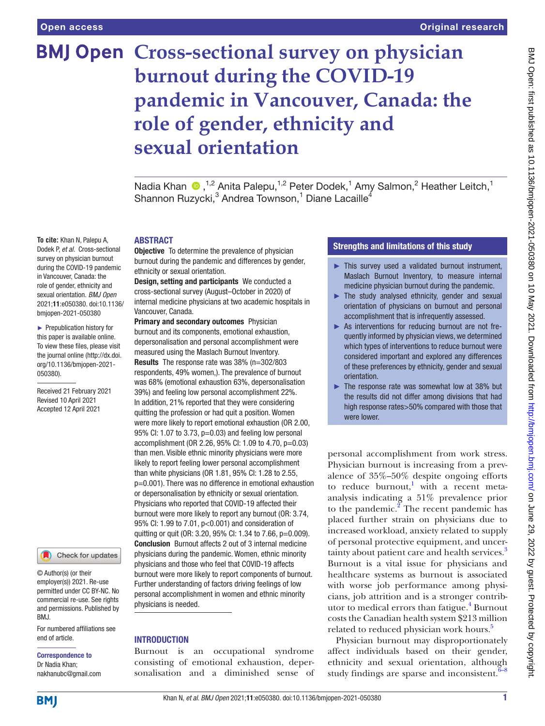# **BMJ Open Cross-sectional survey on physician burnout during the COVID-19 pandemic in Vancouver, Canada: the role of gender, ethnicity and sexual orientation**

NadiaKhan <sup>®</sup>,<sup>1,2</sup> Anita Palepu,<sup>1,2</sup> Peter Dodek,<sup>1</sup> Amy Salmon,<sup>2</sup> Heather Leitch,<sup>1</sup> Shannon Ruzycki, $^3$  Andrea Townson, $^1$  Diane Lacaille<sup>4</sup>

# ABSTRACT

**Objective** To determine the prevalence of physician burnout during the pandemic and differences by gender, ethnicity or sexual orientation.

Design, setting and participants We conducted a cross-sectional survey (August–October in 2020) of internal medicine physicians at two academic hospitals in Vancouver, Canada.

**Primary and secondary outcomes** Physician burnout and its components, emotional exhaustion, depersonalisation and personal accomplishment were measured using the Maslach Burnout Inventory. Results The response rate was 38% (n=302/803 respondents, 49% women,). The prevalence of burnout was 68% (emotional exhaustion 63%, depersonalisation 39%) and feeling low personal accomplishment 22%. In addition, 21% reported that they were considering quitting the profession or had quit a position. Women were more likely to report emotional exhaustion (OR 2.00, 95% CI: 1.07 to 3.73, p=0.03) and feeling low personal accomplishment (OR 2.26, 95% CI: 1.09 to 4.70, p=0.03) than men. Visible ethnic minority physicians were more likely to report feeling lower personal accomplishment than white physicians (OR 1.81, 95% CI: 1.28 to 2.55, p=0.001). There was no difference in emotional exhaustion or depersonalisation by ethnicity or sexual orientation. Physicians who reported that COVID-19 affected their burnout were more likely to report any burnout (OR: 3.74, 95% CI: 1.99 to 7.01, p<0.001) and consideration of quitting or quit (OR: 3.20, 95% CI: 1.34 to 7.66, p=0.009). Conclusion Burnout affects 2 out of 3 internal medicine physicians during the pandemic. Women, ethnic minority physicians and those who feel that COVID-19 affects burnout were more likely to report components of burnout. Further understanding of factors driving feelings of low personal accomplishment in women and ethnic minority physicians is needed.

#### **INTRODUCTION**

Burnout is an occupational syndrome consisting of emotional exhaustion, depersonalisation and a diminished sense of

# Strengths and limitations of this study

- ► This survey used a validated burnout instrument, Maslach Burnout Inventory, to measure internal medicine physician burnout during the pandemic.
- ► The study analysed ethnicity, gender and sexual orientation of physicians on burnout and personal accomplishment that is infrequently assessed.
- ► As interventions for reducing burnout are not frequently informed by physician views, we determined which types of interventions to reduce burnout were considered important and explored any differences of these preferences by ethnicity, gender and sexual orientation.
- The response rate was somewhat low at 38% but the results did not differ among divisions that had high response rates>50% compared with those that were lower.

personal accomplishment from work stress. Physician burnout is increasing from a prevalence of 35%–50% despite ongoing efforts to reduce burnout,<sup>1</sup> with a recent metaanalysis indicating a 51% prevalence prior to the pandemic. $2^{\degree}$  $2^{\degree}$  The recent pandemic has placed further strain on physicians due to increased workload, anxiety related to supply of personal protective equipment, and uncer-tainty about patient care and health services.<sup>[3](#page-6-2)</sup> Burnout is a vital issue for physicians and healthcare systems as burnout is associated with worse job performance among physicians, job attrition and is a stronger contrib-utor to medical errors than fatigue.<sup>[4](#page-6-3)</sup> Burnout costs the Canadian health system \$213 million related to reduced physician work hours.<sup>5</sup>

Physician burnout may disproportionately affect individuals based on their gender, ethnicity and sexual orientation, although study findings are sparse and inconsistent. $6-8$ 

**To cite:** Khan N, Palepu A, Dodek P, *et al*. Cross-sectional survey on physician burnout during the COVID-19 pandemic in Vancouver, Canada: the role of gender, ethnicity and sexual orientation. *BMJ Open* 2021;11:e050380. doi:10.1136/ bmjopen-2021-050380

► Prepublication history for this paper is available online. To view these files, please visit the journal online [\(http://dx.doi.](http://dx.doi.org/10.1136/bmjopen-2021-050380) [org/10.1136/bmjopen-2021-](http://dx.doi.org/10.1136/bmjopen-2021-050380) [050380\)](http://dx.doi.org/10.1136/bmjopen-2021-050380).

Received 21 February 2021 Revised 10 April 2021 Accepted 12 April 2021



© Author(s) (or their employer(s)) 2021. Re-use permitted under CC BY-NC. No commercial re-use. See rights and permissions. Published by BMJ.

For numbered affiliations see end of article.

# Correspondence to Dr Nadia Khan;

nakhanubc@gmail.com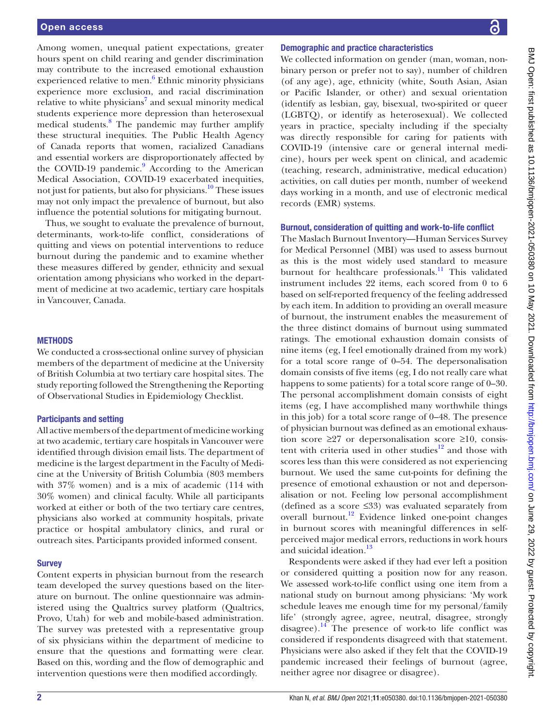Among women, unequal patient expectations, greater hours spent on child rearing and gender discrimination may contribute to the increased emotional exhaustion experienced relative to men.<sup>[6](#page-6-5)</sup> Ethnic minority physicians experience more exclusion, and racial discrimination relative to white physicians<sup>[7](#page-6-6)</sup> and sexual minority medical students experience more depression than heterosexual medical students.<sup>[8](#page-6-7)</sup> The pandemic may further amplify these structural inequities. The Public Health Agency of Canada reports that women, racialized Canadians and essential workers are disproportionately affected by the COVID-19 pandemic.<sup>9</sup> According to the American Medical Association, COVID-19 exacerbated inequities, not just for patients, but also for physicians.[10](#page-6-9) These issues may not only impact the prevalence of burnout, but also influence the potential solutions for mitigating burnout.

Thus, we sought to evaluate the prevalence of burnout, determinants, work-to-life conflict, considerations of quitting and views on potential interventions to reduce burnout during the pandemic and to examine whether these measures differed by gender, ethnicity and sexual orientation among physicians who worked in the department of medicine at two academic, tertiary care hospitals in Vancouver, Canada.

#### **METHODS**

We conducted a cross-sectional online survey of physician members of the department of medicine at the University of British Columbia at two tertiary care hospital sites. The study reporting followed the Strengthening the Reporting of Observational Studies in Epidemiology Checklist.

#### Participants and setting

All active members of the department of medicine working at two academic, tertiary care hospitals in Vancouver were identified through division email lists. The department of medicine is the largest department in the Faculty of Medicine at the University of British Columbia (803 members with 37% women) and is a mix of academic (114 with 30% women) and clinical faculty. While all participants worked at either or both of the two tertiary care centres, physicians also worked at community hospitals, private practice or hospital ambulatory clinics, and rural or outreach sites. Participants provided informed consent.

#### **Survey**

Content experts in physician burnout from the research team developed the survey questions based on the literature on burnout. The online questionnaire was administered using the Qualtrics survey platform (Qualtrics, Provo, Utah) for web and mobile-based administration. The survey was pretested with a representative group of six physicians within the department of medicine to ensure that the questions and formatting were clear. Based on this, wording and the flow of demographic and intervention questions were then modified accordingly.

#### Demographic and practice characteristics

We collected information on gender (man, woman, nonbinary person or prefer not to say), number of children (of any age), age, ethnicity (white, South Asian, Asian or Pacific Islander, or other) and sexual orientation (identify as lesbian, gay, bisexual, two-spirited or queer (LGBTQ), or identify as heterosexual). We collected years in practice, specialty including if the specialty was directly responsible for caring for patients with COVID-19 (intensive care or general internal medicine), hours per week spent on clinical, and academic (teaching, research, administrative, medical education) activities, on call duties per month, number of weekend days working in a month, and use of electronic medical records (EMR) systems.

#### Burnout, consideration of quitting and work-to-life conflict

The Maslach Burnout Inventory—Human Services Survey for Medical Personnel (MBI) was used to assess burnout as this is the most widely used standard to measure burnout for healthcare professionals.<sup>11</sup> This validated instrument includes 22 items, each scored from 0 to 6 based on self-reported frequency of the feeling addressed by each item. In addition to providing an overall measure of burnout, the instrument enables the measurement of the three distinct domains of burnout using summated ratings. The emotional exhaustion domain consists of nine items (eg, I feel emotionally drained from my work) for a total score range of 0–54. The depersonalisation domain consists of five items (eg, I do not really care what happens to some patients) for a total score range of 0–30. The personal accomplishment domain consists of eight items (eg, I have accomplished many worthwhile things in this job) for a total score range of 0–48. The presence of physician burnout was defined as an emotional exhaustion score ≥27 or depersonalisation score ≥10, consistent with criteria used in other studies $12$  and those with scores less than this were considered as not experiencing burnout. We used the same cut-points for defining the presence of emotional exhaustion or not and depersonalisation or not. Feeling low personal accomplishment (defined as a score ≤33) was evaluated separately from overall burnout[.12](#page-6-11) Evidence linked one-point changes in burnout scores with meaningful differences in selfperceived major medical errors, reductions in work hours and suicidal ideation.<sup>13</sup>

Respondents were asked if they had ever left a position or considered quitting a position now for any reason. We assessed work-to-life conflict using one item from a national study on burnout among physicians: 'My work schedule leaves me enough time for my personal/family life' (strongly agree, agree, neutral, disagree, strongly disagree). $14$  The presence of work-to life conflict was considered if respondents disagreed with that statement. Physicians were also asked if they felt that the COVID-19 pandemic increased their feelings of burnout (agree, neither agree nor disagree or disagree).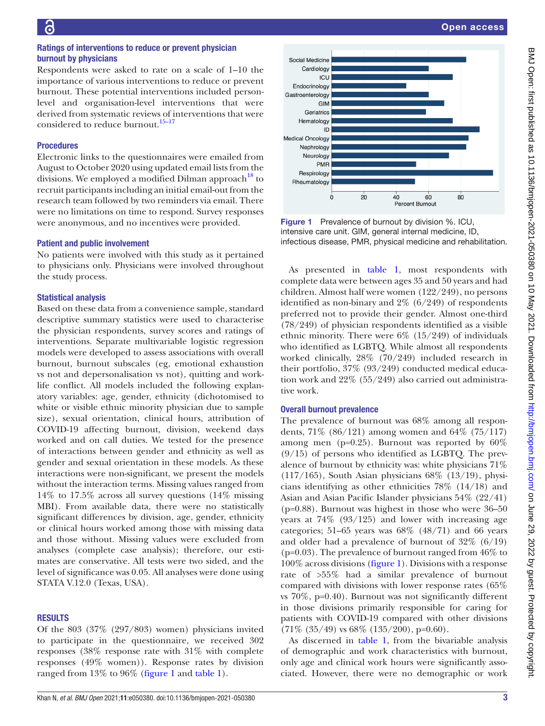#### Ratings of interventions to reduce or prevent physician burnout by physicians

Respondents were asked to rate on a scale of 1–10 the importance of various interventions to reduce or prevent burnout. These potential interventions included personlevel and organisation-level interventions that were derived from systematic reviews of interventions that were considered to reduce burnout.<sup>15-17</sup>

#### Procedures

Electronic links to the questionnaires were emailed from August to October 2020 using updated email lists from the divisions. We employed a modified Dilman approach  $18$  to recruit participants including an initial email-out from the research team followed by two reminders via email. There were no limitations on time to respond. Survey responses were anonymous, and no incentives were provided.

#### Patient and public involvement

No patients were involved with this study as it pertained to physicians only. Physicians were involved throughout the study process.

#### Statistical analysis

Based on these data from a convenience sample, standard descriptive summary statistics were used to characterise the physician respondents, survey scores and ratings of interventions. Separate multivariable logistic regression models were developed to assess associations with overall burnout, burnout subscales (eg, emotional exhaustion vs not and depersonalisation vs not), quitting and worklife conflict. All models included the following explanatory variables: age, gender, ethnicity (dichotomised to white or visible ethnic minority physician due to sample size), sexual orientation, clinical hours, attribution of COVID-19 affecting burnout, division, weekend days worked and on call duties. We tested for the presence of interactions between gender and ethnicity as well as gender and sexual orientation in these models. As these interactions were non-significant, we present the models without the interaction terms. Missing values ranged from 14% to 17.5% across all survey questions (14% missing MBI). From available data, there were no statistically significant differences by division, age, gender, ethnicity or clinical hours worked among those with missing data and those without. Missing values were excluded from analyses (complete case analysis); therefore, our estimates are conservative. All tests were two sided, and the level of significance was 0.05. All analyses were done using STATA V.12.0 (Texas, USA).

#### **RESULTS**

Of the 803 (37% (297/803) women) physicians invited to participate in the questionnaire, we received 302 responses (38% response rate with 31% with complete responses (49% women)). Response rates by division ranged from 13% to 96% ([figure](#page-2-0) 1 and [table](#page-3-0) 1).



<span id="page-2-0"></span>Figure 1 Prevalence of burnout by division %. ICU, intensive care unit. GIM, general internal medicine, ID, infectious disease, PMR, physical medicine and rehabilitation.

As presented in [table](#page-3-0) 1, most respondents with complete data were between ages 35 and 50 years and had children. Almost half were women (122/249), no persons identified as non-binary and 2% (6/249) of respondents preferred not to provide their gender. Almost one-third (78/249) of physician respondents identified as a visible ethnic minority. There were  $6\%$  (15/249) of individuals who identified as LGBTQ. While almost all respondents worked clinically, 28% (70/249) included research in their portfolio, 37% (93/249) conducted medical education work and 22% (55/249) also carried out administrative work.

#### Overall burnout prevalence

The prevalence of burnout was 68% among all respondents, 71% (86/121) among women and 64% (75/117) among men (p=0.25). Burnout was reported by 60%  $(9/15)$  of persons who identified as LGBTQ. The prevalence of burnout by ethnicity was: white physicians 71%  $(117/165)$ , South Asian physicians  $68\%$   $(13/19)$ , physicians identifying as other ethnicities 78% (14/18) and Asian and Asian Pacific Islander physicians 54% (22/41) (p=0.88). Burnout was highest in those who were 36–50 years at 74% (93/125) and lower with increasing age categories; 51–65 years was  $68\%$   $(48/71)$  and  $66$  years and older had a prevalence of burnout of 32% (6/19) ( $p=0.03$ ). The prevalence of burnout ranged from  $46\%$  to 100% across divisions ([figure](#page-2-0) 1). Divisions with a response rate of >55% had a similar prevalence of burnout compared with divisions with lower response rates (65% vs 70%, p=0.40). Burnout was not significantly different in those divisions primarily responsible for caring for patients with COVID-19 compared with other divisions  $(71\% (35/49)$  vs 68%  $(135/200)$ , p=0.60).

As discerned in [table](#page-3-0) 1, from the bivariable analysis of demographic and work characteristics with burnout, only age and clinical work hours were significantly associated. However, there were no demographic or work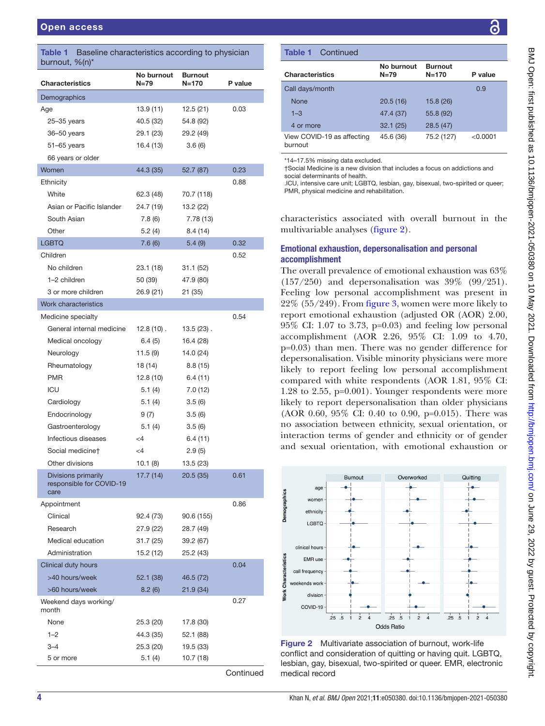<span id="page-3-0"></span>Table 1 Baseline characteristics according to physician burnout, %(n)\*

| <b>Characteristics</b>                | No burnout<br>$N = 79$ | <b>Burnout</b><br>$N = 170$ | P value |
|---------------------------------------|------------------------|-----------------------------|---------|
| Demographics                          |                        |                             |         |
| Age                                   | 13.9(11)               | 12.5(21)                    | 0.03    |
| $25 - 35$ years                       | 40.5 (32)              | 54.8 (92)                   |         |
| 36-50 years                           | 29.1 (23)              | 29.2 (49)                   |         |
| $51 - 65$ years                       | 16.4 (13)              | 3.6(6)                      |         |
| 66 years or older                     |                        |                             |         |
| Women                                 | 44.3 (35)              | 52.7 (87)                   | 0.23    |
| Ethnicity                             |                        |                             | 0.88    |
| White                                 | 62.3 (48)              | 70.7 (118)                  |         |
| Asian or Pacific Islander             | 24.7 (19)              | 13.2 (22)                   |         |
| South Asian                           | 7.8(6)                 | 7.78 (13)                   |         |
| Other                                 | 5.2(4)                 | 8.4 (14)                    |         |
| <b>LGBTQ</b>                          | 7.6(6)                 | 5.4(9)                      | 0.32    |
| Children                              |                        |                             | 0.52    |
| No children                           | 23.1 (18)              | 31.1 (52)                   |         |
| 1-2 children                          | 50 (39)                | 47.9 (80)                   |         |
| 3 or more children                    | 26.9 (21)              | 21 (35)                     |         |
| Work characteristics                  |                        |                             |         |
| Medicine specialty                    |                        |                             | 0.54    |
| General internal medicine             | $12.8(10)$ .           | $13.5(23)$ .                |         |
| Medical oncology                      | 6.4(5)                 | 16.4 (28)                   |         |
| Neurology                             | 11.5(9)                | 14.0 (24)                   |         |
| Rheumatology                          | 18 (14)                | 8.8(15)                     |         |
| <b>PMR</b>                            | 12.8 (10)              | 6.4(11)                     |         |
| ICU                                   | 5.1(4)                 | 7.0 (12)                    |         |
| Cardiology                            | 5.1(4)                 | 3.5(6)                      |         |
| Endocrinology                         | 9 (7)                  | 3.5(6)                      |         |
| Gastroenterology                      | 5.1(4)                 | 3.5(6)                      |         |
| Infectious diseases                   | $\leq$ 4               | 6.4 (11)                    |         |
| Social medicine†                      | $\leq$ 4               | 2.9(5)                      |         |
| Other divisions                       | 10.1(8)                | 13.5 (23)                   |         |
| Divisions primarily                   | 17.7 (14)              | 20.5 (35)                   | 0.61    |
| responsible for COVID-19              |                        |                             |         |
| care<br>Appointment                   |                        |                             | 0.86    |
| Clinical                              |                        |                             |         |
| Research                              | 92.4 (73)              | 90.6 (155)                  |         |
|                                       | 27.9 (22)              | 28.7 (49)                   |         |
| Medical education                     | 31.7 (25)              | 39.2 (67)                   |         |
| Administration<br>Clinical duty hours | 15.2 (12)              | 25.2 (43)                   | 0.04    |
| >40 hours/week                        |                        |                             |         |
|                                       | 52.1 (38)              | 46.5 (72)                   |         |
| >60 hours/week                        | 8.2(6)                 | 21.9 (34)                   | 0.27    |
| Weekend days working/<br>month        |                        |                             |         |
| None                                  | 25.3 (20)              | 17.8 (30)                   |         |
| $1 - 2$                               | 44.3 (35)              | 52.1 (88)                   |         |
| $3 - 4$                               | 25.3 (20)              | 19.5 (33)                   |         |
| 5 or more                             | 5.1(4)                 | 10.7 (18)                   |         |

**Continued** 

### Table 1 Continued

| No burnout<br>$N=79$ | <b>Burnout</b><br>$N = 170$ | P value  |
|----------------------|-----------------------------|----------|
|                      |                             | 0.9      |
| 20.5(16)             | 15.8(26)                    |          |
| 47.4 (37)            | 55.8 (92)                   |          |
| 32.1(25)             | 28.5(47)                    |          |
| 45.6 (36)            | 75.2 (127)                  | < 0.0001 |
|                      |                             |          |

\*14–17.5% missing data excluded.

†Social Medicine is a new division that includes a focus on addictions and social determinants of health

.ICU, intensive care unit; LGBTQ, lesbian, gay, bisexual, two-spirited or queer; PMR, physical medicine and rehabilitation.

characteristics associated with overall burnout in the multivariable analyses [\(figure](#page-3-1) 2).

#### Emotional exhaustion, depersonalisation and personal accomplishment

The overall prevalence of emotional exhaustion was 63% (157/250) and depersonalisation was 39% (99/251). Feeling low personal accomplishment was present in 22% (55/249). From [figure](#page-4-0) 3, women were more likely to report emotional exhaustion (adjusted OR (AOR) 2.00, 95% CI: 1.07 to 3.73, p=0.03) and feeling low personal accomplishment (AOR 2.26, 95% CI: 1.09 to 4.70, p=0.03) than men. There was no gender difference for depersonalisation. Visible minority physicians were more likely to report feeling low personal accomplishment compared with white respondents (AOR 1.81, 95% CI: 1.28 to 2.55, p=0.001). Younger respondents were more likely to report depersonalisation than older physicians (AOR 0.60, 95% CI: 0.40 to 0.90, p=0.015). There was no association between ethnicity, sexual orientation, or interaction terms of gender and ethnicity or of gender and sexual orientation, with emotional exhaustion or



<span id="page-3-1"></span>Figure 2 Multivariate association of burnout, work-life conflict and consideration of quitting or having quit. LGBTQ, lesbian, gay, bisexual, two-spirited or queer. EMR, electronic medical record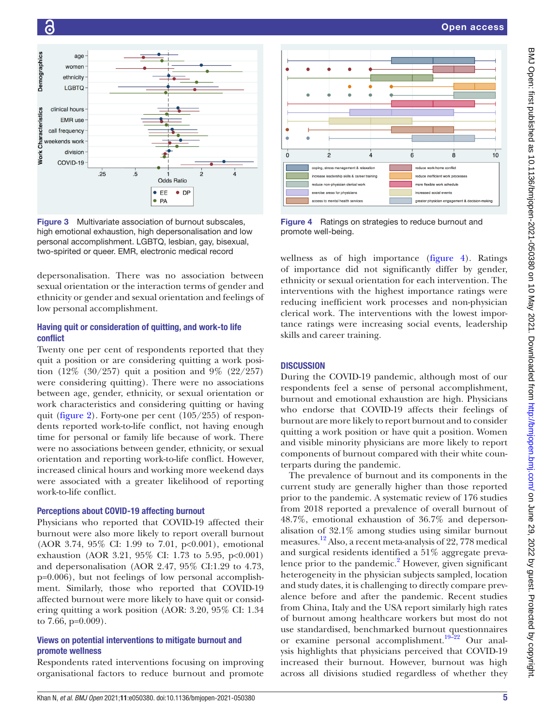

<span id="page-4-0"></span>Figure 3 Multivariate association of burnout subscales, high emotional exhaustion, high depersonalisation and low personal accomplishment. LGBTQ, lesbian, gay, bisexual, two-spirited or queer. EMR, electronic medical record

depersonalisation. There was no association between sexual orientation or the interaction terms of gender and ethnicity or gender and sexual orientation and feelings of low personal accomplishment.

# Having quit or consideration of quitting, and work-to life conflict

Twenty one per cent of respondents reported that they quit a position or are considering quitting a work position (12% (30/257) quit a position and 9% (22/257) were considering quitting). There were no associations between age, gender, ethnicity, or sexual orientation or work characteristics and considering quitting or having quit ([figure](#page-3-1) 2). Forty-one per cent (105/255) of respondents reported work-to-life conflict, not having enough time for personal or family life because of work. There were no associations between gender, ethnicity, or sexual orientation and reporting work-to-life conflict. However, increased clinical hours and working more weekend days were associated with a greater likelihood of reporting work-to-life conflict.

### Perceptions about COVID-19 affecting burnout

Physicians who reported that COVID-19 affected their burnout were also more likely to report overall burnout (AOR 3.74, 95% CI: 1.99 to 7.01, p<0.001), emotional exhaustion (AOR 3.21, 95% CI: 1.73 to 5.95, p<0.001) and depersonalisation (AOR 2.47, 95% CI:1.29 to 4.73, p=0.006), but not feelings of low personal accomplishment. Similarly, those who reported that COVID-19 affected burnout were more likely to have quit or considering quitting a work position (AOR: 3.20, 95% CI: 1.34 to 7.66, p=0.009).

# Views on potential interventions to mitigate burnout and promote wellness

Respondents rated interventions focusing on improving organisational factors to reduce burnout and promote



<span id="page-4-1"></span>Figure 4 Ratings on strategies to reduce burnout and promote well-being.

wellness as of high importance [\(figure](#page-4-1) 4). Ratings of importance did not significantly differ by gender, ethnicity or sexual orientation for each intervention. The interventions with the highest importance ratings were reducing inefficient work processes and non-physician clerical work. The interventions with the lowest importance ratings were increasing social events, leadership skills and career training.

# **DISCUSSION**

During the COVID-19 pandemic, although most of our respondents feel a sense of personal accomplishment, burnout and emotional exhaustion are high. Physicians who endorse that COVID-19 affects their feelings of burnout are more likely to report burnout and to consider quitting a work position or have quit a position. Women and visible minority physicians are more likely to report components of burnout compared with their white counterparts during the pandemic.

The prevalence of burnout and its components in the current study are generally higher than those reported prior to the pandemic. A systematic review of 176 studies from 2018 reported a prevalence of overall burnout of 48.7%, emotional exhaustion of 36.7% and depersonalisation of 32.1% among studies using similar burnout measures.[12](#page-6-11) Also, a recent meta-analysis of 22, 778 medical and surgical residents identified a 51% aggregate preva-lence prior to the pandemic.<sup>[2](#page-6-1)</sup> However, given significant heterogeneity in the physician subjects sampled, location and study dates, it is challenging to directly compare prevalence before and after the pandemic. Recent studies from China, Italy and the USA report similarly high rates of burnout among healthcare workers but most do not use standardised, benchmarked burnout questionnaires or examine personal accomplishment.<sup>19-22</sup> Our analysis highlights that physicians perceived that COVID-19 increased their burnout. However, burnout was high across all divisions studied regardless of whether they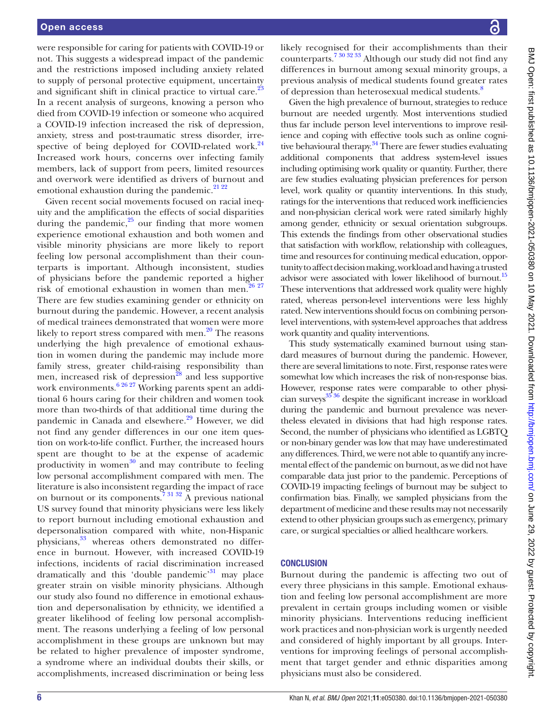were responsible for caring for patients with COVID-19 or not. This suggests a widespread impact of the pandemic and the restrictions imposed including anxiety related to supply of personal protective equipment, uncertainty and significant shift in clinical practice to virtual care.<sup>23</sup> In a recent analysis of surgeons, knowing a person who died from COVID-19 infection or someone who acquired a COVID-19 infection increased the risk of depression, anxiety, stress and post-traumatic stress disorder, irre-spective of being deployed for COVID-related work.<sup>[24](#page-6-18)</sup> Increased work hours, concerns over infecting family members, lack of support from peers, limited resources and overwork were identified as drivers of burnout and emotional exhaustion during the pandemic. $21\,22$ 

Given recent social movements focused on racial inequity and the amplification the effects of social disparities during the pandemic, $25$  our finding that more women experience emotional exhaustion and both women and visible minority physicians are more likely to report feeling low personal accomplishment than their counterparts is important. Although inconsistent, studies of physicians before the pandemic reported a higher risk of emotional exhaustion in women than men. $26\frac{27}{27}$ There are few studies examining gender or ethnicity on burnout during the pandemic. However, a recent analysis of medical trainees demonstrated that women were more likely to report stress compared with men. $^{20}$  $^{20}$  $^{20}$  The reasons underlying the high prevalence of emotional exhaustion in women during the pandemic may include more family stress, greater child-raising responsibility than men, increased risk of depression<sup>28</sup> and less supportive work environments.<sup>[6 26 27](#page-6-5)</sup> Working parents spent an additional 6 hours caring for their children and women took more than two-thirds of that additional time during the pandemic in Canada and elsewhere.<sup>[29](#page-6-24)</sup> However, we did not find any gender differences in our one item question on work-to-life conflict. Further, the increased hours spent are thought to be at the expense of academic productivity in women $30$  and may contribute to feeling low personal accomplishment compared with men. The literature is also inconsistent regarding the impact of race on burnout or its components.  $7 \times 31 \times 32$  A previous national US survey found that minority physicians were less likely to report burnout including emotional exhaustion and depersonalisation compared with white, non-Hispanic physicians,<sup>33</sup> whereas others demonstrated no difference in burnout. However, with increased COVID-19 infections, incidents of racial discrimination increased dramatically and this 'double pandemic'<sup>[31](#page-6-27)</sup> may place greater strain on visible minority physicians. Although our study also found no difference in emotional exhaustion and depersonalisation by ethnicity, we identified a greater likelihood of feeling low personal accomplishment. The reasons underlying a feeling of low personal accomplishment in these groups are unknown but may be related to higher prevalence of imposter syndrome, a syndrome where an individual doubts their skills, or accomplishments, increased discrimination or being less

likely recognised for their accomplishments than their counterparts[.7 30 32 33](#page-6-6) Although our study did not find any differences in burnout among sexual minority groups, a previous analysis of medical students found greater rates of depression than heterosexual medical students.<sup>8</sup>

Given the high prevalence of burnout, strategies to reduce burnout are needed urgently. Most interventions studied thus far include person level interventions to improve resilience and coping with effective tools such as online cogni-tive behavioural therapy.<sup>[34](#page-6-28)</sup> There are fewer studies evaluating additional components that address system-level issues including optimising work quality or quantity. Further, there are few studies evaluating physician preferences for person level, work quality or quantity interventions. In this study, ratings for the interventions that reduced work inefficiencies and non-physician clerical work were rated similarly highly among gender, ethnicity or sexual orientation subgroups. This extends the findings from other observational studies that satisfaction with workflow, relationship with colleagues, time and resources for continuing medical education, opportunity to affect decision making, workload and having a trusted advisor were associated with lower likelihood of burnout.<sup>15</sup> These interventions that addressed work quality were highly rated, whereas person-level interventions were less highly rated. New interventions should focus on combining personlevel interventions, with system-level approaches that address work quantity and quality interventions.

This study systematically examined burnout using standard measures of burnout during the pandemic. However, there are several limitations to note. First, response rates were somewhat low which increases the risk of non-response bias. However, response rates were comparable to other physician surveys $^{35\,36}$  despite the significant increase in workload during the pandemic and burnout prevalence was nevertheless elevated in divisions that had high response rates. Second, the number of physicians who identified as LGBTQ or non-binary gender was low that may have underestimated any differences. Third, we were not able to quantify any incremental effect of the pandemic on burnout, as we did not have comparable data just prior to the pandemic. Perceptions of COVID-19 impacting feelings of burnout may be subject to confirmation bias. Finally, we sampled physicians from the department of medicine and these results may not necessarily extend to other physician groups such as emergency, primary care, or surgical specialties or allied healthcare workers.

#### **CONCLUSION**

Burnout during the pandemic is affecting two out of every three physicians in this sample. Emotional exhaustion and feeling low personal accomplishment are more prevalent in certain groups including women or visible minority physicians. Interventions reducing inefficient work practices and non-physician work is urgently needed and considered of highly important by all groups. Interventions for improving feelings of personal accomplishment that target gender and ethnic disparities among physicians must also be considered.